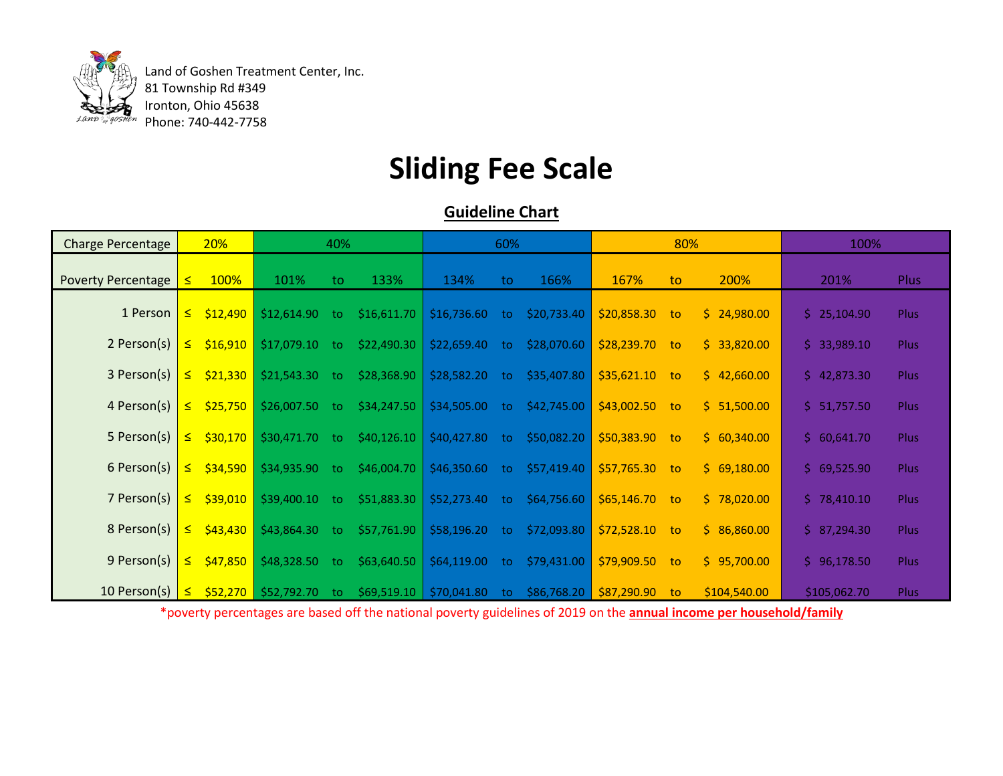

 Land of Goshen Treatment Center, Inc. 81 Township Rd #349 Ironton, Ohio 45638 Phone: 740-442-7758

## **Sliding Fee Scale**

## **Guideline Chart**

| <b>Charge Percentage</b>  | 20%       |                 | 40%                         |     |             | 60%                       |     |             | 80%             |                             |              | 100%         |             |
|---------------------------|-----------|-----------------|-----------------------------|-----|-------------|---------------------------|-----|-------------|-----------------|-----------------------------|--------------|--------------|-------------|
| <b>Poverty Percentage</b> | ≤         | 100%            | 101%                        | to. | 133%        | 134%                      | to  | 166%        | 167%            | to.                         | 200%         | 201%         | <b>Plus</b> |
| 1 Person                  | $\leq$    | \$12,490        | \$12,614.90                 | to  | \$16,611.70 | \$16,736.60               | to. | \$20,733.40 | \$20,858.30     | to:                         | \$24,980.00  | \$25,104.90  | <b>Plus</b> |
| 2 Person(s)               | <u>s </u> | \$16,910        | \$17,079.10                 | to  | \$22,490.30 | \$22,659.40               | to. | \$28,070.60 | $$28,239.70$ to |                             | \$33,820.00  | \$33,989.10  | <b>Plus</b> |
| 3 Person(s)               | $\leq$    | \$21,330        | \$21,543.30                 | to. | \$28,368.90 | \$28,582.20               | to. | \$35,407.80 | $$35,621.10$ to |                             | \$42,660.00  | \$42,873.30  | <b>Plus</b> |
| 4 Person(s)               | <u>s </u> | \$25,750        | \$26,007.50                 | to. | \$34,247.50 | \$34,505.00               | to  | \$42,745.00 | $$43,002.50$ to |                             | \$1,500.00   | \$ 51,757.50 | Plus        |
| 5 Person(s)               | $\leq$    | \$30,170        | \$30,471.70                 | to. | \$40,126.10 | \$40,427.80               | to. | \$50,082.20 | \$50,383.90 to  |                             | \$60,340.00  | \$60,641.70  | <b>Plus</b> |
| 6 Person(s)               |           | $\leq$ \$34,590 | \$34,935.90                 | to  | \$46,004.70 | \$46,350.60               | to. | \$57,419.40 | \$57,765.30     | $\overline{\phantom{a}}$ to | \$69,180.00  | \$69,525.90  | Plus        |
| 7 Person(s)               | $\leq$    | \$39,010        | \$39,400.10                 | to  | \$51,883.30 | \$52,273.40               | to  | \$64,756.60 | $$65,146.70$ to |                             | \$78,020.00  | \$78,410.10  | <b>Plus</b> |
| 8 Person(s)               |           | $\leq$ \$43,430 | \$43,864.30                 | to. | \$57,761.90 | \$58,196.20               | to  | \$72,093.80 | $$72,528.10$ to |                             | \$86,860.00  | \$7,294.30   | Plus        |
| 9 Person(s)               | $\leq$    | \$47,850        | \$48,328.50                 | to. | \$63,640.50 | \$64,119.00               | to  | \$79,431.00 | $$79,909.50$ to |                             | \$95,700.00  | \$96,178.50  | Plus        |
| 10 Person(s) $ $          |           |                 | $\leq$ \$52,270 \$52,792.70 | to. |             | $$69,519.10$ $$70,041.80$ | to. | \$86,768.20 | \$87,290.90     | to                          | \$104,540.00 | \$105,062.70 | <b>Plus</b> |

\*poverty percentages are based off the national poverty guidelines of 2019 on the **annual income per household/family**